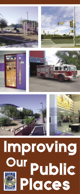











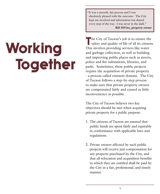Working Together "It was a smooth, fair process and I was absolutely pleased with the outcome. The City kept me involved and information was shared every step of the way. I was never in the dark."  **Bill DiVito, property owner**

 $\blacksquare$  he City of Tucson's job is to ensure the safety and quality of life of all its citizens. This involves providing services like water and garbage collection, as well as building and improving public places such as streets, police and fire substations, libraries, and parks. Sometimes, these public projects require the acquisition of private property - a process called eminent domain. The City of Tucson follows a step-by-step process to make sure that private property owners are compensated fairly and caused as little inconvenience as possible.

The City of Tucson believes two key objectives should be met when acquiring private property for a public purpose:

- 1. The citizens of Tucson are assured that public funds are spent fairly and equitably in conformance with applicable laws and regulations.
- 2. Private owners affected by such public projects will receive just compensation for any property purchased by the City, and that all relocation and acquisition benefits to which they are entitled shall be paid by the City in a fair, professional, and timely manner.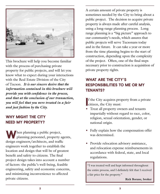

This brochure will help you become familiar with the process of purchasing private property for public projects, and will let you know what to expect during your interactions with the Real Estate Division of the City of Tucson. *It is our sincere desire that the information contained in this brochure will provide you with confidence in the process, and that at the conclusion of our transaction, you will feel that you were treated in a fair and just fashion by the City.*

## WHY MIGHT THE CITY NEED MY PROPERTY?

When planning a public project,<br>planning personnel, property agents, design engineers/architects, and traffic engineers work together to establish the location and design that will be of greatest benefit and safety to citizens. The final project design takes into account a number of factors: the public's well-being, feasible engineering, safety and economic concerns, and minimizing inconvenience to affected private citizens.

A certain amount of private property is sometimes needed by the City to bring about a public project. The decision to acquire private property is always made after careful analysis, using a long-range planning process. Long range planning is a "big picture" approach to our community's needs, which assures that public projects will serve Tucsonans today and in the future. It can take a year or more from the time planning begins to the start of construction, depending upon the complexity of the project. Often, one of the final steps necessary prior to construction is acquisition of private property rights.

# WHAT ARE THE CITY'S RESPONSIBILITIES TO ME OR MY TENANTS?

If the City acquires proprietizen, the City must: f the City acquires property from a private

- Treat all property owners and tenants impartially without regard to race, color, religion, sexual orientation, gender, or national origin.
- Fully explain how the compensation offer was determined.
- Provide relocation advisory assistance, and relocation expense reimbursements in accordance with federal, state, and local regulations.

"I was treated well and kept informed throughout the entire process, and I definitely felt that I received a fair price for the property."

**Rick Borane, broker**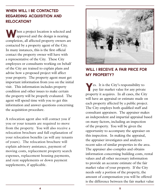# WHEN WILL I BE CONTACTED REGARDING ACQUISITION AND RELOCATION?

When a project location is selected and approved and the design is nearing completion, all affected property owners are contacted by a property agent of the City. In many instances, this is the first official contact the property owner will have with a representative of the City. These City employees or consultants working on behalf of the City are trained to explain plans and advise how a proposed project will affect your property. The property agent must get important information from you on the initial visit. This information includes property condition and other issues to make certain the property will be properly evaluated. The agent will spend time with you to get this information and answer questions concerning the acquisition procedure.

A relocation agent also will contact you if you or your tenants are required to move from the property. You will also receive a relocation brochure and full explanation of your relocation benefits (as will any tenants of yours). The relocation brochure will explain advisory assistance, payment of moving costs, replacement property search expenses, replacement housing payments, and rent supplements or down payment supplements, if applicable.



### WILL I RECEIVE A FAIR PRICE FOR MY PROPERTY?

Yes. It is the City's responsibility to pay fair market value for any private property it acquires. In all cases, the City will have an appraisal or estimate made on each property affected by a public project. The City employs both qualified staff and consultant appraisers. The appraiser makes an independent and impartial appraisal based on many factors, including an inspection of the property. You will be given the opportunity to accompany the appraiser on this inspection. In making the appraisal, the appraiser investigates and analyzes recent sales of similar properties in the area. The appraiser also compiles and obtains information concerning building costs, rental values and all other necessary information to provide an accurate estimate of the fair market value of your property. If the City needs only a portion of the property, the amount of compensation you will be offered is the difference between the fair market value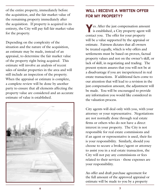of the entire property, immediately before the acquisition, and the fair market value of the remaining property immediately after the acquisition. If property is acquired in its entirety, the City will pay full fair market value for the property.

Depending on the complexity of the situation and the nature of the acquisition, an estimate may be made, instead of an appraisal, to determine the fair market value of the property right being acquired. This estimate will involve an analysis of recent sales of similar properties in the area and will still include an inspection of the property. When the appraisal or estimate is complete, a complete review will be done by another party to ensure that all elements affecting the property value are considered and an accurate estimate of value is established.



## WILL I RECEIVE A WRITTEN OFFER FOR MY PROPERTY?

Yes. After the just compensation amount is established, a City property agent will contact you. The offer for your property will be a value supported by the appraisal or estimate. Fairness dictates that all owners be treated equally, which is why offers and settlements must be based on proven, factual property values and not on the owner's skill, or lack of skill, in negotiating and trading. The present system assures that you will not be at a disadvantage if you are inexperienced in real estate transactions. If additional facts come to our attention that will lead to a revision in the just compensation amount, the adjustment will be made. You will be encouraged to provide any information you would like considered in the valuation process.

City agents will deal only with you, with your attorney or your representative. Negotiations are not normally done through real estate firms or others who do not have a direct interest in your property. The City is not responsible for real estate commissions and if an agent or representative is used, their fee is your responsibility. Similarly, should you choose to secure a broker/agent or attorney to assist you in a real estate transaction, the City will not pay any commissions or fees related to their services - those expenses are your responsibility.

An offer and draft purchase agreement for the full amount of the approved appraisal or estimate will be made to you by a property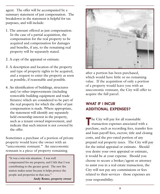agent. The offer will be accompanied by a summary statement of just compensation. The breakdown in the statement is helpful for tax purposes, and will include:

- 1. The amount offered as just compensation. In the case of a partial acquisition, the compensation for the real property to be acquired and compensation for damages and benefits, if any, to the remaining real property will be separately stated.
- 2. A copy of the appraisal or estimate.
- 3. A description and location of the property and type of property rights to be acquired, and a request to enter the property as soon as possible, if reasonable and possible.
- 4. An identification of buildings, structures and/or other improvements (including removable building equipment and trade fixtures) which are considered to be part of the real property for which the offer of just compensation is made. Where appropriate, the statement will identify any separately held ownership interest in the property, such as a tenant-owned improvement, and indicate that such interest is not covered by the offer.

Sometimes a purchase of a portion of private property would leave the owner with an "uneconomic remnant." An uneconomic remnant is a piece of property remaining

"It was a win-win situation. I was well compensated for my property, and I felt that I was contributing to the greater good. The new fire station makes sense because it helps protect the people and properties in that area."

**Andy Romo, property owner** 



after a portion has been purchased, which would have little or no remaining value. If the acquisition of only a portion of a property would leave you with an uneconomic remnant, the City will offer to acquire the full parcel.

# WHAT IF I INCUR ADDITIONAL EXPENSES?

The City will pay for all reasonable<br>transaction expenses associated with a purchase, such as recording fees, transfer fees and loan payoff fees, escrow, title and closing costs, and the pro-rated portion of any prepaid real property taxes. The City will pay for the initial appraisal or estimate. Should you desire your own appraisal or estimate, it would be at your expense. Should you choose to secure a broker/agent or attorney to assist you in a real estate transaction, the City will not pay any commissions or fees related to their services - those expenses are your responsibility.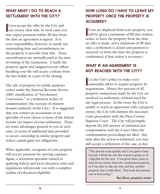## WHAT MUST I DO TO REACH A SETTLEMENT WITH THE CITY?

If you accept the offer by the City and<br>can convey clear title, in most cases you f you accept the offer by the City and may expect payment within 30 days from the date an agreement is signed. It is your responsibility, however, to satisfy any outstanding liens and encumbrances on the property to provide clear title. These encumbrances are normally paid at the time of closing of the transaction. Usually the property agent and assigned escrow officer handling your file will secure a release from the lien holder as a part of the closing.

The sale of property for public purposes comes under the Internal Revenue Service (IRS) classification of "Involuntary Conversion," as a settlement in lieu of condemnation (the exercise of eminent domain authority of the City). It is suggested that you contact an accountant or tax specialist of your choice to learn of the federal income tax impact of your settlement. There are some advantages granted to you in such cases, in terms of additional time provided to secure ownership in similar property and reduce capital gains tax obligations.

When applicable, occupants of your property will receive payment for moving expenses. Again, a relocation specialist trained in applying federal and local relocation rules and regulations will provide you with a complete outline of relocation eligibility.

# HOW LONG DO I HAVE TO LEAVE MY PROPERTY ONCE THE PROPERTY IS ACQUIRED?

If you are displaced from your property, you<br>will be given a minimum of 90 days written will be given a minimum of 90 days written notice to leave the property from the time an offer is made, and a minimum of 30 days once a settlement is closed and payment is received (or from the time the property is condemned, if that action is necessary).

## WHAT IF AN AGREEMENT IS NOT REACHED WITH THE CITY?

t is the City's policy to make every<br>reasonable effort to acquire property by  $\mathbf t$  is the City's policy to make every negotiations. Ninety-five percent of all property transactions made by the City are resolved via settlement, without need for any legal process. In the event the City is unable to reach an agreement with a property owner, the City will institute the necessary court procedures with the Pima County Superior Court. The City will promptly deposit the full amount of estimated just compensation with the Court when the condemnation proceedings are filed. Any time after the action is instituted, you may still accept a settlement of the case, in lieu

"The process went quickly and I was glad to help because I think the new fire station is going to be a big plus for the area. I was given three years to reinvest my money from the condemned property, so I was able to take my time and buy another property that I really liked. That took the pressure out of reinvesting."

**Ray Rivas, property owner**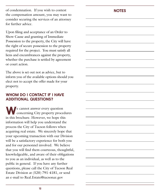of condemnation. If you wish to contest the compensation amount, you may want to consider securing the services of an attorney for further advice.

Upon filing and acceptance of an Order to Show Cause and granting of Immediate Possession to the property, the City will have the right of secure possession to the property required for the project. You must satisfy all liens and encumbrances against the property, whether the purchase is settled by agreement or court action.

The above is set out not as advice, but to inform you of the available options should you elect not to accept the offer made for your property.

#### WHOM DO I CONTACT IF I HAVE ADDITIONAL QUESTIONS?

We cannot answer every question<br>
concerning City property procedures in this brochure. However, we hope this information will help you understand the process the City of Tucson follows when acquiring real estate. We sincerely hope that your upcoming transaction with our Division will be a satisfactory experience for both you and for our personnel involved. We believe that you will find them courteous, thoughtful, knowledgeable, and aware of their obligations to you as an individual, as well as to the public in general. If you have any further questions, please call the City of Tucson Real Estate Division at (520) 791-4181, or send an e-mail to Real.Estate@tucsonaz.gov

#### **NOTES**